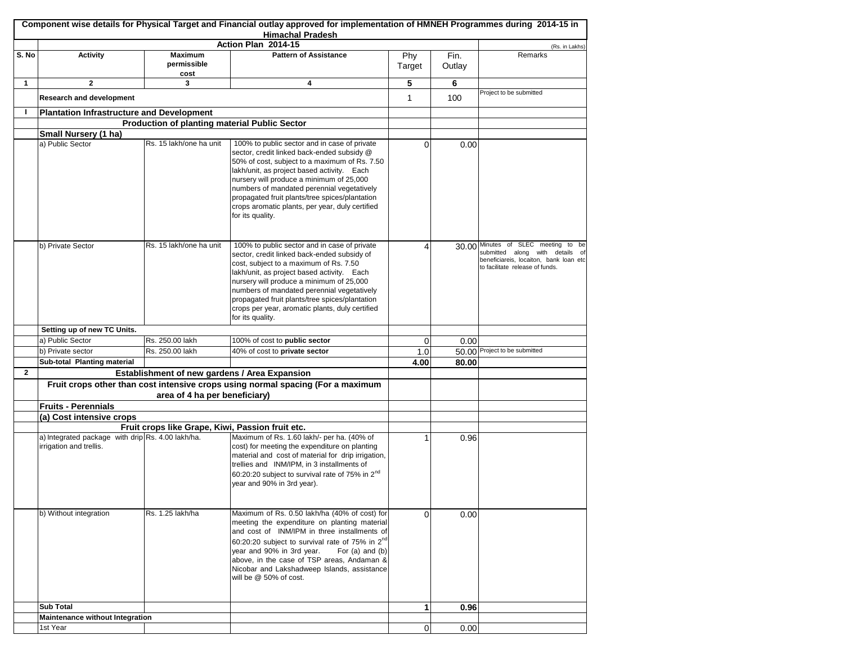|              |                                                                              |                                                  | Component wise details for Physical Target and Financial outlay approved for implementation of HMNEH Programmes during 2014-15 in<br><b>Himachal Pradesh</b>                                                                                                                                                                                                                                                 |                |        |                                                                                                                                                     |
|--------------|------------------------------------------------------------------------------|--------------------------------------------------|--------------------------------------------------------------------------------------------------------------------------------------------------------------------------------------------------------------------------------------------------------------------------------------------------------------------------------------------------------------------------------------------------------------|----------------|--------|-----------------------------------------------------------------------------------------------------------------------------------------------------|
|              |                                                                              |                                                  | Action Plan 2014-15                                                                                                                                                                                                                                                                                                                                                                                          |                |        | (Rs. in Lakhs)                                                                                                                                      |
| S. No        | <b>Activity</b>                                                              | <b>Maximum</b>                                   | <b>Pattern of Assistance</b>                                                                                                                                                                                                                                                                                                                                                                                 | Phy            | Fin.   | Remarks                                                                                                                                             |
|              |                                                                              | permissible<br>cost                              |                                                                                                                                                                                                                                                                                                                                                                                                              | Target         | Outlay |                                                                                                                                                     |
| 1            | $\mathbf{2}$                                                                 | 3                                                | 4                                                                                                                                                                                                                                                                                                                                                                                                            | 5              | 6      |                                                                                                                                                     |
|              | <b>Research and development</b>                                              |                                                  |                                                                                                                                                                                                                                                                                                                                                                                                              | 1              | 100    | Project to be submitted                                                                                                                             |
| п            | <b>Plantation Infrastructure and Development</b>                             |                                                  |                                                                                                                                                                                                                                                                                                                                                                                                              |                |        |                                                                                                                                                     |
|              |                                                                              | Production of planting material Public Sector    |                                                                                                                                                                                                                                                                                                                                                                                                              |                |        |                                                                                                                                                     |
|              | Small Nursery (1 ha)                                                         |                                                  |                                                                                                                                                                                                                                                                                                                                                                                                              |                |        |                                                                                                                                                     |
|              | a) Public Sector                                                             | Rs. 15 lakh/one ha unit                          | 100% to public sector and in case of private<br>sector, credit linked back-ended subsidy @<br>50% of cost, subject to a maximum of Rs. 7.50<br>lakh/unit, as project based activity. Each<br>nursery will produce a minimum of 25,000<br>numbers of mandated perennial vegetatively<br>propagated fruit plants/tree spices/plantation<br>crops aromatic plants, per year, duly certified<br>for its quality. | 0              | 0.00   |                                                                                                                                                     |
|              | b) Private Sector                                                            | Rs. 15 lakh/one ha unit                          | 100% to public sector and in case of private<br>sector, credit linked back-ended subsidy of<br>cost, subject to a maximum of Rs. 7.50<br>lakh/unit, as project based activity. Each<br>nursery will produce a minimum of 25,000<br>numbers of mandated perennial vegetatively<br>propagated fruit plants/tree spices/plantation<br>crops per year, aromatic plants, duly certified<br>for its quality.       | Δ              |        | 30.00 Minutes of SLEC meeting to be<br>submitted along with details of<br>beneficiareis, locaiton, bank loan etc<br>to facilitate release of funds. |
|              | Setting up of new TC Units.                                                  |                                                  |                                                                                                                                                                                                                                                                                                                                                                                                              |                |        |                                                                                                                                                     |
|              | a) Public Sector                                                             | Rs. 250.00 lakh                                  | 100% of cost to public sector                                                                                                                                                                                                                                                                                                                                                                                | 0              | 0.00   |                                                                                                                                                     |
|              | b) Private sector                                                            | Rs. 250.00 lakh                                  | 40% of cost to private sector                                                                                                                                                                                                                                                                                                                                                                                | 1.0            |        | 50.00 Project to be submitted                                                                                                                       |
|              | Sub-total Planting material                                                  |                                                  |                                                                                                                                                                                                                                                                                                                                                                                                              | 4.00           | 80.00  |                                                                                                                                                     |
| $\mathbf{2}$ |                                                                              | Establishment of new gardens / Area Expansion    |                                                                                                                                                                                                                                                                                                                                                                                                              |                |        |                                                                                                                                                     |
|              |                                                                              |                                                  | Fruit crops other than cost intensive crops using normal spacing (For a maximum                                                                                                                                                                                                                                                                                                                              |                |        |                                                                                                                                                     |
|              |                                                                              | area of 4 ha per beneficiary)                    |                                                                                                                                                                                                                                                                                                                                                                                                              |                |        |                                                                                                                                                     |
|              | <b>Fruits - Perennials</b>                                                   |                                                  |                                                                                                                                                                                                                                                                                                                                                                                                              |                |        |                                                                                                                                                     |
|              | (a) Cost intensive crops                                                     |                                                  |                                                                                                                                                                                                                                                                                                                                                                                                              |                |        |                                                                                                                                                     |
|              |                                                                              | Fruit crops like Grape, Kiwi, Passion fruit etc. |                                                                                                                                                                                                                                                                                                                                                                                                              |                |        |                                                                                                                                                     |
|              | a) Integrated package with drip Rs. 4.00 lakh/ha.<br>irrigation and trellis. |                                                  | Maximum of Rs. 1.60 lakh/- per ha. (40% of<br>cost) for meeting the expenditure on planting<br>material and cost of material for drip irrigation,<br>trellies and INM/IPM, in 3 installments of<br>60:20:20 subject to survival rate of 75% in 2 <sup>nd</sup><br>year and 90% in 3rd year).                                                                                                                 |                | 0.96   |                                                                                                                                                     |
|              | b) Without integration                                                       | Rs. 1.25 lakh/ha                                 | Maximum of Rs. 0.50 lakh/ha (40% of cost) for<br>meeting the expenditure on planting material<br>and cost of INM/IPM in three installments of<br>60:20:20 subject to survival rate of 75% in 2nd<br>year and 90% in 3rd year.<br>For $(a)$ and $(b)$<br>above, in the case of TSP areas, Andaman &<br>Nicobar and Lakshadweep Islands, assistance<br>will be @ 50% of cost.                                  | 0              | 0.00   |                                                                                                                                                     |
|              | <b>Sub Total</b>                                                             |                                                  |                                                                                                                                                                                                                                                                                                                                                                                                              | 1              | 0.96   |                                                                                                                                                     |
|              | Maintenance without Integration                                              |                                                  |                                                                                                                                                                                                                                                                                                                                                                                                              |                |        |                                                                                                                                                     |
|              | 1st Year                                                                     |                                                  |                                                                                                                                                                                                                                                                                                                                                                                                              | $\overline{0}$ | 0.00   |                                                                                                                                                     |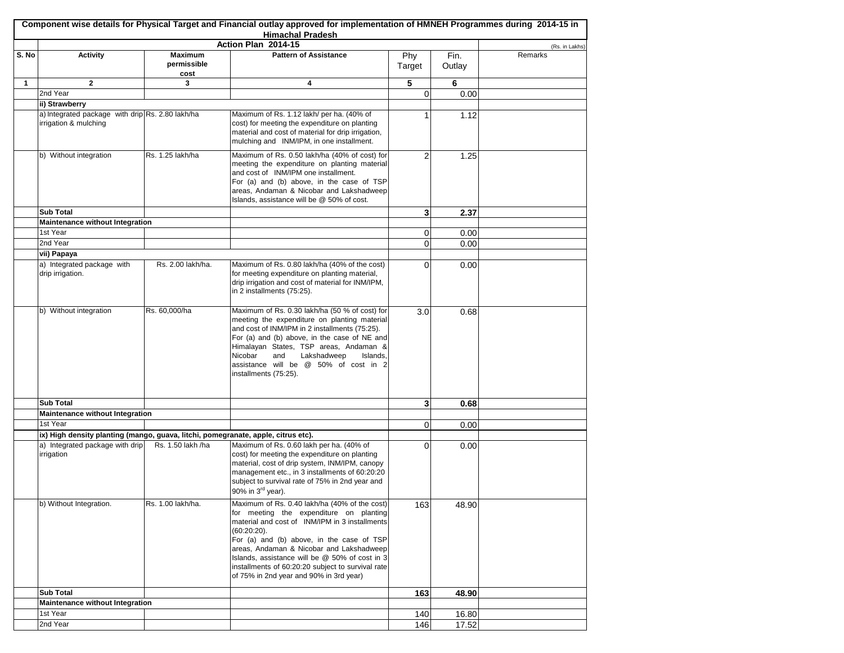|              |                                                                                   |                                       | Component wise details for Physical Target and Financial outlay approved for implementation of HMNEH Programmes during 2014-15 in<br><b>Himachal Pradesh</b>                                                                                                                                                                                                                                            |               |                |                |
|--------------|-----------------------------------------------------------------------------------|---------------------------------------|---------------------------------------------------------------------------------------------------------------------------------------------------------------------------------------------------------------------------------------------------------------------------------------------------------------------------------------------------------------------------------------------------------|---------------|----------------|----------------|
|              |                                                                                   |                                       | Action Plan 2014-15                                                                                                                                                                                                                                                                                                                                                                                     |               |                | (Rs. in Lakhs) |
| S. No        | <b>Activity</b>                                                                   | <b>Maximum</b><br>permissible<br>cost | <b>Pattern of Assistance</b>                                                                                                                                                                                                                                                                                                                                                                            | Phy<br>Target | Fin.<br>Outlay | Remarks        |
| $\mathbf{1}$ | $\overline{2}$                                                                    | 3                                     | 4                                                                                                                                                                                                                                                                                                                                                                                                       | 5             | 6              |                |
|              | 2nd Year                                                                          |                                       |                                                                                                                                                                                                                                                                                                                                                                                                         | $\Omega$      | 0.00           |                |
|              | ii) Strawberry                                                                    |                                       |                                                                                                                                                                                                                                                                                                                                                                                                         |               |                |                |
|              | a) Integrated package with drip Rs. 2.80 lakh/ha<br>irrigation & mulching         |                                       | Maximum of Rs. 1.12 lakh/ per ha. (40% of<br>cost) for meeting the expenditure on planting<br>material and cost of material for drip irrigation,<br>mulching and INM/IPM, in one installment.                                                                                                                                                                                                           | 1             | 1.12           |                |
|              | b) Without integration                                                            | Rs. 1.25 lakh/ha                      | Maximum of Rs. 0.50 lakh/ha (40% of cost) for<br>meeting the expenditure on planting material<br>and cost of INM/IPM one installment.<br>For (a) and (b) above, in the case of TSP<br>areas, Andaman & Nicobar and Lakshadweep<br>Islands, assistance will be @ 50% of cost.                                                                                                                            | 2             | 1.25           |                |
|              | <b>Sub Total</b>                                                                  |                                       |                                                                                                                                                                                                                                                                                                                                                                                                         | 3             | 2.37           |                |
|              | Maintenance without Integration                                                   |                                       |                                                                                                                                                                                                                                                                                                                                                                                                         |               |                |                |
|              | 1st Year                                                                          |                                       |                                                                                                                                                                                                                                                                                                                                                                                                         | 0             | 0.00           |                |
|              | 2nd Year                                                                          |                                       |                                                                                                                                                                                                                                                                                                                                                                                                         | 0             | 0.00           |                |
|              | vii) Papaya                                                                       |                                       |                                                                                                                                                                                                                                                                                                                                                                                                         |               |                |                |
|              | a) Integrated package with<br>drip irrigation.                                    | Rs. 2.00 lakh/ha.                     | Maximum of Rs. 0.80 lakh/ha (40% of the cost)<br>for meeting expenditure on planting material,<br>drip irrigation and cost of material for INM/IPM,<br>in 2 installments (75:25).                                                                                                                                                                                                                       | 0             | 0.00           |                |
|              | b) Without integration                                                            | Rs. 60,000/ha                         | Maximum of Rs. 0.30 lakh/ha (50 % of cost) for<br>meeting the expenditure on planting material<br>and cost of INM/IPM in 2 installments (75:25).<br>For (a) and (b) above, in the case of NE and<br>Himalayan States, TSP areas, Andaman &<br>Nicobar<br>Lakshadweep<br>Islands,<br>and<br>assistance will be @ 50% of cost in 2<br>installments (75:25).                                               | 3.0           | 0.68           |                |
|              | <b>Sub Total</b>                                                                  |                                       |                                                                                                                                                                                                                                                                                                                                                                                                         | 3             | 0.68           |                |
|              | Maintenance without Integration                                                   |                                       |                                                                                                                                                                                                                                                                                                                                                                                                         |               |                |                |
|              | 1st Year                                                                          |                                       |                                                                                                                                                                                                                                                                                                                                                                                                         | 0             | 0.00           |                |
|              | ix) High density planting (mango, guava, litchi, pomegranate, apple, citrus etc). |                                       |                                                                                                                                                                                                                                                                                                                                                                                                         |               |                |                |
|              | a) Integrated package with drip<br>irrigation                                     | Rs. 1.50 lakh /ha                     | Maximum of Rs. 0.60 lakh per ha. (40% of<br>cost) for meeting the expenditure on planting<br>material, cost of drip system, INM/IPM, canopy<br>management etc., in 3 installments of 60:20:20<br>subject to survival rate of 75% in 2nd year and<br>90% in 3rd year).                                                                                                                                   | 0             | 0.00           |                |
|              | b) Without Integration.                                                           | Rs. 1.00 lakh/ha.                     | Maximum of Rs. 0.40 lakh/ha (40% of the cost)<br>for meeting the expenditure on planting<br>material and cost of INM/IPM in 3 installments<br>$(60:20:20)$ .<br>For (a) and (b) above, in the case of TSP<br>areas, Andaman & Nicobar and Lakshadweep<br>Islands, assistance will be @ 50% of cost in 3<br>installments of 60:20:20 subject to survival rate<br>of 75% in 2nd year and 90% in 3rd year) | 163           | 48.90          |                |
|              | <b>Sub Total</b>                                                                  |                                       |                                                                                                                                                                                                                                                                                                                                                                                                         | 163           | 48.90          |                |
|              | <b>Maintenance without Integration</b>                                            |                                       |                                                                                                                                                                                                                                                                                                                                                                                                         |               |                |                |
|              | 1st Year                                                                          |                                       |                                                                                                                                                                                                                                                                                                                                                                                                         | 140           | 16.80          |                |
|              | 2nd Year                                                                          |                                       |                                                                                                                                                                                                                                                                                                                                                                                                         | 146           | 17.52          |                |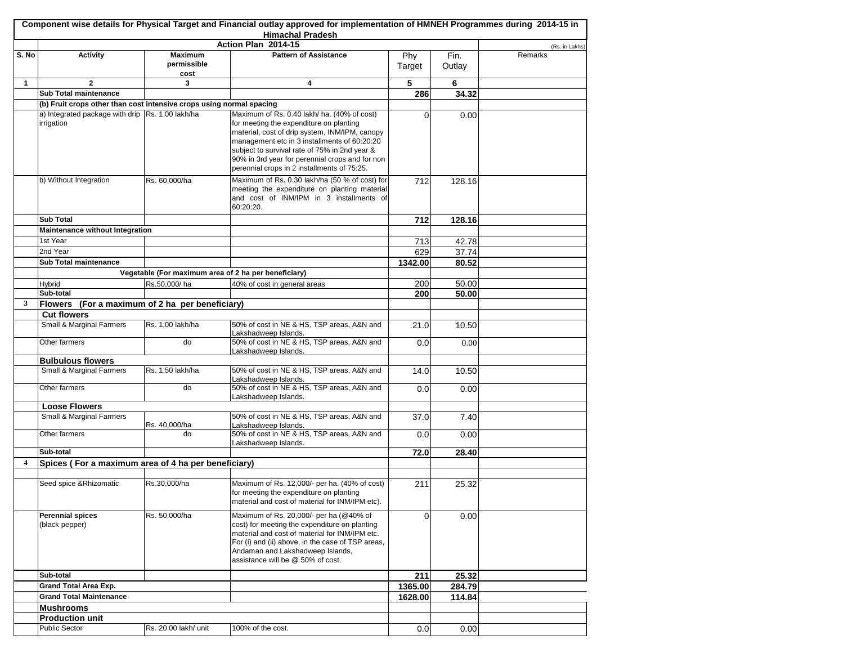|       |                                                                      |                                | <b>Himachal Pradesh</b><br>Action Plan 2014-15                                                                                                                                                                                                                           |               |                |                |
|-------|----------------------------------------------------------------------|--------------------------------|--------------------------------------------------------------------------------------------------------------------------------------------------------------------------------------------------------------------------------------------------------------------------|---------------|----------------|----------------|
|       |                                                                      |                                | <b>Pattern of Assistance</b>                                                                                                                                                                                                                                             |               |                | (Rs. in Lakhs) |
| S. No | <b>Activity</b>                                                      | Maximum<br>permissible<br>cost |                                                                                                                                                                                                                                                                          | Phy<br>Target | Fin.<br>Outlay | Remarks        |
| 1     | $\mathbf{2}$                                                         | 3                              | 4                                                                                                                                                                                                                                                                        | 5             | 6              |                |
|       | Sub Total maintenance                                                |                                |                                                                                                                                                                                                                                                                          | 286           | 34.32          |                |
|       | (b) Fruit crops other than cost intensive crops using normal spacing |                                |                                                                                                                                                                                                                                                                          |               |                |                |
|       | a) Integrated package with drip Rs. 1.00 lakh/ha<br>irrigation       |                                | Maximum of Rs. 0.40 lakh/ ha. (40% of cost)<br>for meeting the expenditure on planting                                                                                                                                                                                   | 0             | 0.00           |                |
|       |                                                                      |                                | material, cost of drip system, INM/IPM, canopy<br>management etc in 3 installments of 60:20:20<br>subject to survival rate of 75% in 2nd year &<br>90% in 3rd year for perennial crops and for non<br>perennial crops in 2 installments of 75:25.                        |               |                |                |
|       | b) Without Integration                                               | Rs. 60,000/ha                  | Maximum of Rs. 0.30 lakh/ha (50 % of cost) for<br>meeting the expenditure on planting material<br>and cost of INM/IPM in 3 installments of<br>60:20:20.                                                                                                                  | 712           | 128.16         |                |
|       | <b>Sub Total</b>                                                     |                                |                                                                                                                                                                                                                                                                          | 712           | 128.16         |                |
|       | Maintenance without Integration                                      |                                |                                                                                                                                                                                                                                                                          |               |                |                |
|       | 1st Year                                                             |                                |                                                                                                                                                                                                                                                                          | 713           | 42.78          |                |
|       | 2nd Year                                                             |                                |                                                                                                                                                                                                                                                                          | 629           | 37.74          |                |
|       | Sub Total maintenance                                                |                                |                                                                                                                                                                                                                                                                          | 1342.00       | 80.52          |                |
|       |                                                                      |                                | Vegetable (For maximum area of 2 ha per beneficiary)                                                                                                                                                                                                                     |               |                |                |
|       | Hybrid                                                               | Rs.50,000/ha                   | 40% of cost in general areas                                                                                                                                                                                                                                             | 200           | 50.00          |                |
|       | Sub-total                                                            |                                |                                                                                                                                                                                                                                                                          | 200           | 50.00          |                |
| 3     | Flowers (For a maximum of 2 ha per beneficiary)                      |                                |                                                                                                                                                                                                                                                                          |               |                |                |
|       | <b>Cut flowers</b>                                                   |                                |                                                                                                                                                                                                                                                                          |               |                |                |
|       | Small & Marginal Farmers                                             | Rs. 1.00 lakh/ha               | 50% of cost in NE & HS, TSP areas, A&N and<br>Lakshadweep Islands.                                                                                                                                                                                                       | 21.0          | 10.50          |                |
|       | Other farmers                                                        | do                             | 50% of cost in NE & HS, TSP areas, A&N and<br>Lakshadweep Islands.                                                                                                                                                                                                       | 0.0           | 0.00           |                |
|       | <b>Bulbulous flowers</b>                                             |                                |                                                                                                                                                                                                                                                                          |               |                |                |
|       | Small & Marginal Farmers                                             | Rs. 1.50 lakh/ha               | 50% of cost in NE & HS, TSP areas, A&N and<br>Lakshadweep Islands.                                                                                                                                                                                                       | 14.0          | 10.50          |                |
|       | Other farmers                                                        | do                             | 50% of cost in NE & HS, TSP areas, A&N and<br>Lakshadweep Islands.                                                                                                                                                                                                       | 0.0           | 0.00           |                |
|       | <b>Loose Flowers</b>                                                 |                                |                                                                                                                                                                                                                                                                          |               |                |                |
|       | Small & Marginal Farmers<br>Other farmers                            | Rs. 40,000/ha<br>do            | 50% of cost in NE & HS, TSP areas, A&N and<br>Lakshadweep Islands.<br>50% of cost in NE & HS, TSP areas, A&N and                                                                                                                                                         | 37.0          | 7.40           |                |
|       |                                                                      |                                | Lakshadweep Islands.                                                                                                                                                                                                                                                     | 0.0           | 0.00           |                |
|       | Sub-total                                                            |                                |                                                                                                                                                                                                                                                                          | 72.0          | 28.40          |                |
| 4     | Spices (For a maximum area of 4 ha per beneficiary)                  |                                |                                                                                                                                                                                                                                                                          |               |                |                |
|       |                                                                      |                                |                                                                                                                                                                                                                                                                          |               |                |                |
|       | Seed spice & Rhizomatic                                              | Rs.30,000/ha                   | Maximum of Rs. 12,000/- per ha. (40% of cost)<br>for meeting the expenditure on planting<br>material and cost of material for INM/IPM etc).                                                                                                                              | 211           | 25.32          |                |
|       | <b>Perennial spices</b><br>(black pepper)                            | Rs. 50,000/ha                  | Maximum of Rs. 20,000/- per ha (@40% of<br>cost) for meeting the expenditure on planting<br>material and cost of material for INM/IPM etc.<br>For (i) and (ii) above, in the case of TSP areas,<br>Andaman and Lakshadweep Islands,<br>assistance will be @ 50% of cost. | $\Omega$      | 0.00           |                |
|       | Sub-total                                                            |                                |                                                                                                                                                                                                                                                                          | 211           | 25.32          |                |
|       | <b>Grand Total Area Exp.</b>                                         |                                |                                                                                                                                                                                                                                                                          | 1365.00       | 284.79         |                |
|       | <b>Grand Total Maintenance</b>                                       |                                |                                                                                                                                                                                                                                                                          | 1628.00       | 114.84         |                |
|       | <b>Mushrooms</b>                                                     |                                |                                                                                                                                                                                                                                                                          |               |                |                |
|       | <b>Production unit</b>                                               |                                |                                                                                                                                                                                                                                                                          |               |                |                |
|       | Public Sector                                                        | Rs. 20.00 lakh/ unit           | 100% of the cost.                                                                                                                                                                                                                                                        | 0.0           | 0.00           |                |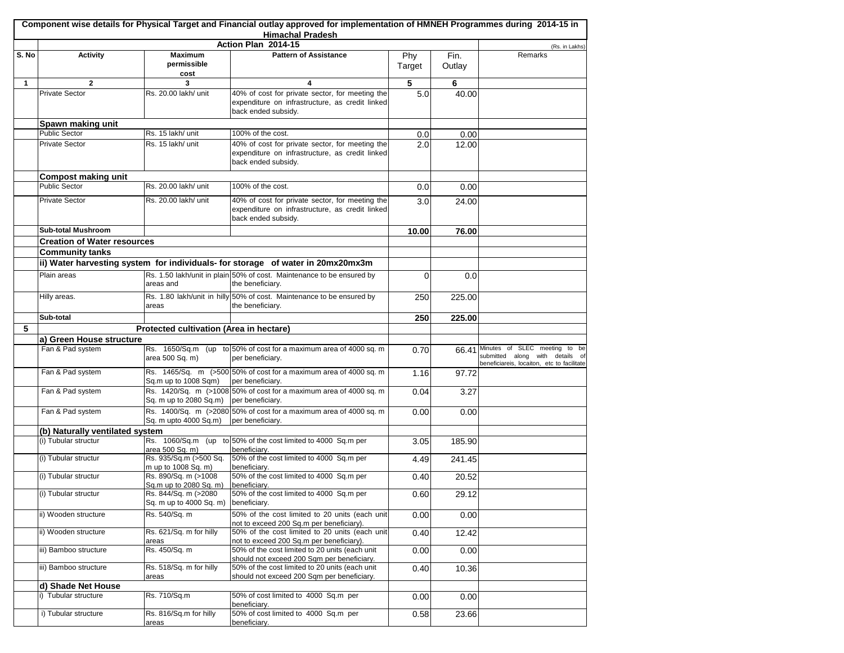|       |                                              |                                                 | Component wise details for Physical Target and Financial outlay approved for implementation of HMNEH Programmes during 2014-15 in<br><b>Himachal Pradesh</b> |               |                 |                                                                                                                |
|-------|----------------------------------------------|-------------------------------------------------|--------------------------------------------------------------------------------------------------------------------------------------------------------------|---------------|-----------------|----------------------------------------------------------------------------------------------------------------|
|       |                                              |                                                 | Action Plan 2014-15                                                                                                                                          |               |                 | (Rs. in Lakhs)                                                                                                 |
| S. No | <b>Activity</b>                              | <b>Maximum</b><br>permissible<br>cost           | <b>Pattern of Assistance</b>                                                                                                                                 | Phy<br>Target | Fin.<br>Outlay  | Remarks                                                                                                        |
| 1     | $\mathbf{2}$                                 | 3                                               | 4                                                                                                                                                            | 5             | 6               |                                                                                                                |
|       | <b>Private Sector</b>                        | Rs. 20.00 lakh/ unit                            | 40% of cost for private sector, for meeting the<br>expenditure on infrastructure, as credit linked<br>back ended subsidy.                                    | 5.0           | 40.00           |                                                                                                                |
|       | Spawn making unit                            |                                                 |                                                                                                                                                              |               |                 |                                                                                                                |
|       | <b>Public Sector</b>                         | Rs. 15 lakh/ unit                               | 100% of the cost.                                                                                                                                            | 0.0           | 0.00            |                                                                                                                |
|       | <b>Private Sector</b>                        | Rs. 15 lakh/ unit                               | 40% of cost for private sector, for meeting the<br>expenditure on infrastructure, as credit linked<br>back ended subsidy.                                    | 2.0           | 12.00           |                                                                                                                |
|       | Compost making unit                          |                                                 |                                                                                                                                                              |               |                 |                                                                                                                |
|       | <b>Public Sector</b>                         | Rs. 20.00 lakh/ unit                            | 100% of the cost.                                                                                                                                            | 0.0           | 0.00            |                                                                                                                |
|       | <b>Private Sector</b>                        | Rs. 20.00 lakh/ unit                            | 40% of cost for private sector, for meeting the<br>expenditure on infrastructure, as credit linked<br>back ended subsidy.                                    | 3.0           | 24.00           |                                                                                                                |
|       | <b>Sub-total Mushroom</b>                    |                                                 |                                                                                                                                                              | 10.00         | 76.00           |                                                                                                                |
|       | <b>Creation of Water resources</b>           |                                                 |                                                                                                                                                              |               |                 |                                                                                                                |
|       | <b>Community tanks</b>                       |                                                 |                                                                                                                                                              |               |                 |                                                                                                                |
|       |                                              |                                                 | ii) Water harvesting system for individuals- for storage of water in 20mx20mx3m                                                                              |               |                 |                                                                                                                |
|       | Plain areas                                  | areas and                                       | Rs. 1.50 lakh/unit in plain 50% of cost. Maintenance to be ensured by<br>the beneficiary.                                                                    | 0             | 0.0             |                                                                                                                |
|       | Hilly areas.                                 | areas                                           | Rs. 1.80 lakh/unit in hilly 50% of cost. Maintenance to be ensured by<br>the beneficiary.                                                                    | 250           | 225.00          |                                                                                                                |
|       | Sub-total                                    |                                                 |                                                                                                                                                              | 250           | 225.00          |                                                                                                                |
| 5     |                                              | Protected cultivation (Area in hectare)         |                                                                                                                                                              |               |                 |                                                                                                                |
|       | a) Green House structure                     |                                                 |                                                                                                                                                              |               |                 |                                                                                                                |
|       | Fan & Pad system                             | area 500 Sq. m)                                 | Rs. 1650/Sq.m (up to 50% of cost for a maximum area of 4000 sq. m<br>per beneficiary.                                                                        | 0.70          | 66.41           | Minutes of SLEC meeting to be<br>submitted along with details of<br>beneficiareis, locaiton, etc to facilitate |
|       | Fan & Pad system                             | Sq.m up to 1008 Sqm)                            | Rs. 1465/Sq. m (>500 50% of cost for a maximum area of 4000 sq. m<br>per beneficiary.                                                                        | 1.16          | 97.72           |                                                                                                                |
|       | Fan & Pad system                             | Sq. m up to 2080 Sq.m) per beneficiary.         | Rs. 1420/Sq. m (>1008 50% of cost for a maximum area of 4000 sq. m                                                                                           | 0.04          | 3.27            |                                                                                                                |
|       | Fan & Pad system                             | Sq. m upto 4000 Sq.m)                           | Rs. 1400/Sq. m (>2080 50% of cost for a maximum area of 4000 sq. m<br>per beneficiary.                                                                       | 0.00          | 0.00            |                                                                                                                |
|       | (b) Naturally ventilated system              |                                                 |                                                                                                                                                              |               |                 |                                                                                                                |
|       | (i) Tubular structur                         | area 500 Sq. m)<br>Rs. 935/Sq.m (>500 Sq.       | Rs. 1060/Sq.m (up to 50% of the cost limited to 4000 Sq.m per<br>beneficiary.<br>50% of the cost limited to 4000 Sq.m per                                    | 3.05          | 185.90          |                                                                                                                |
|       | (i) Tubular structur<br>(i) Tubular structur | m up to 1008 Sq. m)<br>Rs. 890/Sq. m (>1008     | beneficiary.<br>50% of the cost limited to 4000 Sq.m per                                                                                                     | 4.49<br>0.40  | 241.45<br>20.52 |                                                                                                                |
|       |                                              | Sq.m up to 2080 Sq. m)                          | beneficiary.                                                                                                                                                 |               |                 |                                                                                                                |
|       | (i) Tubular structur                         | Rs. 844/Sq. m (>2080<br>Sq. m up to 4000 Sq. m) | 50% of the cost limited to 4000 Sq.m per<br>beneficiary.                                                                                                     | 0.60          | 29.12           |                                                                                                                |
|       | ii) Wooden structure                         | Rs. 540/Sq. m                                   | 50% of the cost limited to 20 units (each unit<br>not to exceed 200 Sq.m per beneficiary).                                                                   | 0.00          | 0.00            |                                                                                                                |
|       | ii) Wooden structure                         | Rs. 621/Sq. m for hilly<br>areas                | 50% of the cost limited to 20 units (each unit<br>not to exceed 200 Sq.m per beneficiary).                                                                   | 0.40          | 12.42           |                                                                                                                |
|       | iii) Bamboo structure                        | Rs. 450/Sq. m                                   | 50% of the cost limited to 20 units (each unit<br>should not exceed 200 Sqm per beneficiary.                                                                 | 0.00          | 0.00            |                                                                                                                |
|       | iii) Bamboo structure                        | Rs. 518/Sq. m for hilly<br>areas                | 50% of the cost limited to 20 units (each unit<br>should not exceed 200 Sqm per beneficiary.                                                                 | 0.40          | 10.36           |                                                                                                                |
|       | d) Shade Net House                           |                                                 |                                                                                                                                                              |               |                 |                                                                                                                |
|       | i) Tubular structure                         | Rs. 710/Sq.m                                    | 50% of cost limited to 4000 Sq.m per<br>beneficiarv.                                                                                                         | 0.00          | 0.00            |                                                                                                                |
|       | i) Tubular structure                         | Rs. 816/Sq.m for hilly<br>areas                 | 50% of cost limited to 4000 Sq.m per<br>beneficiary.                                                                                                         | 0.58          | 23.66           |                                                                                                                |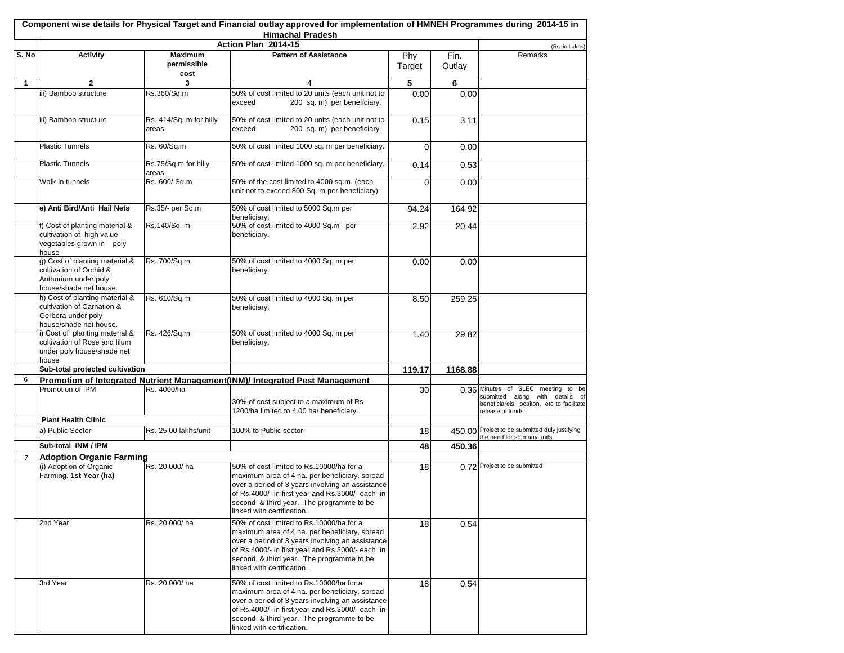|                |                                                                                                              |                                       | Component wise details for Physical Target and Financial outlay approved for implementation of HMNEH Programmes during 2014-15 in<br><b>Himachal Pradesh</b>                                                                                                                |               |                |                                                                                                                                             |
|----------------|--------------------------------------------------------------------------------------------------------------|---------------------------------------|-----------------------------------------------------------------------------------------------------------------------------------------------------------------------------------------------------------------------------------------------------------------------------|---------------|----------------|---------------------------------------------------------------------------------------------------------------------------------------------|
|                |                                                                                                              |                                       | Action Plan 2014-15                                                                                                                                                                                                                                                         |               |                | (Rs. in Lakhs)                                                                                                                              |
| S. No          | <b>Activity</b>                                                                                              | <b>Maximum</b><br>permissible<br>cost | <b>Pattern of Assistance</b>                                                                                                                                                                                                                                                | Phy<br>Target | Fin.<br>Outlay | Remarks                                                                                                                                     |
| 1              | $\mathbf{2}$                                                                                                 | 3                                     | 4                                                                                                                                                                                                                                                                           | 5             | 6              |                                                                                                                                             |
|                | iii) Bamboo structure                                                                                        | Rs.360/Sq.m                           | 50% of cost limited to 20 units (each unit not to<br>200 sq. m) per beneficiary.<br>exceed                                                                                                                                                                                  | 0.00          | 0.00           |                                                                                                                                             |
|                | iii) Bamboo structure                                                                                        | Rs. 414/Sq. m for hilly<br>areas      | 50% of cost limited to 20 units (each unit not to<br>200 sq. m) per beneficiary.<br>exceed                                                                                                                                                                                  | 0.15          | 3.11           |                                                                                                                                             |
|                | <b>Plastic Tunnels</b>                                                                                       | Rs. 60/Sq.m                           | 50% of cost limited 1000 sq. m per beneficiary.                                                                                                                                                                                                                             | $\Omega$      | 0.00           |                                                                                                                                             |
|                | <b>Plastic Tunnels</b>                                                                                       | Rs.75/Sq.m for hilly<br>areas.        | 50% of cost limited 1000 sq. m per beneficiary.                                                                                                                                                                                                                             | 0.14          | 0.53           |                                                                                                                                             |
|                | Walk in tunnels                                                                                              | Rs. 600/ Sq.m                         | 50% of the cost limited to 4000 sq.m. (each<br>unit not to exceed 800 Sq. m per beneficiary).                                                                                                                                                                               | 0             | 0.00           |                                                                                                                                             |
|                | e) Anti Bird/Anti Hail Nets                                                                                  | Rs.35/- per Sq.m                      | 50% of cost limited to 5000 Sq.m per<br>beneficiary.                                                                                                                                                                                                                        | 94.24         | 164.92         |                                                                                                                                             |
|                | f) Cost of planting material &<br>cultivation of high value<br>vegetables grown in poly<br>house             | Rs.140/Sq. m                          | 50% of cost limited to 4000 Sq.m per<br>beneficiary.                                                                                                                                                                                                                        | 2.92          | 20.44          |                                                                                                                                             |
|                | g) Cost of planting material &<br>cultivation of Orchid &<br>Anthurium under poly<br>house/shade net house.  | Rs. 700/Sq.m                          | 50% of cost limited to 4000 Sq. m per<br>beneficiary.                                                                                                                                                                                                                       | 0.00          | 0.00           |                                                                                                                                             |
|                | h) Cost of planting material &<br>cultivation of Carnation &<br>Gerbera under poly<br>house/shade net house. | Rs. 610/Sq.m                          | 50% of cost limited to 4000 Sq. m per<br>beneficiary.                                                                                                                                                                                                                       | 8.50          | 259.25         |                                                                                                                                             |
|                | i) Cost of planting material &<br>cultivation of Rose and lilum<br>under poly house/shade net<br>house       | Rs. 426/Sq.m                          | 50% of cost limited to 4000 Sq. m per<br>beneficiary.                                                                                                                                                                                                                       | 1.40          | 29.82          |                                                                                                                                             |
|                | Sub-total protected cultivation                                                                              |                                       |                                                                                                                                                                                                                                                                             | 119.17        | 1168.88        |                                                                                                                                             |
| 6              |                                                                                                              |                                       | Promotion of Integrated Nutrient Management(INM)/ Integrated Pest Management                                                                                                                                                                                                |               |                |                                                                                                                                             |
|                | Promotion of IPM                                                                                             | Rs. 4000/ha                           | 30% of cost subject to a maximum of Rs<br>1200/ha limited to 4.00 ha/ beneficiary.                                                                                                                                                                                          | 30            |                | 0.36 Minutes of SLEC meeting<br>to be<br>submitted along with details of<br>beneficiareis, locaiton, etc to facilitate<br>release of funds. |
|                | <b>Plant Health Clinic</b>                                                                                   |                                       |                                                                                                                                                                                                                                                                             |               |                |                                                                                                                                             |
|                | a) Public Sector                                                                                             | Rs. 25.00 lakhs/unit                  | 100% to Public sector                                                                                                                                                                                                                                                       | 18            |                | 450.00 Project to be submitted duly justifying<br>the need for so many units.                                                               |
|                | Sub-total INM / IPM                                                                                          |                                       |                                                                                                                                                                                                                                                                             | 48            | 450.36         |                                                                                                                                             |
| $\overline{7}$ | <b>Adoption Organic Farming</b>                                                                              |                                       |                                                                                                                                                                                                                                                                             |               |                |                                                                                                                                             |
|                | (i) Adoption of Organic<br>Farming. 1st Year (ha)                                                            | Rs. 20,000/ha                         | 50% of cost limited to Rs.10000/ha for a<br>maximum area of 4 ha. per beneficiary, spread<br>over a period of 3 years involving an assistance<br>of Rs.4000/- in first year and Rs.3000/- each in<br>second & third year. The programme to be<br>linked with certification. | 18            |                | 0.72 Project to be submitted                                                                                                                |
|                | 2nd Year                                                                                                     | Rs. 20,000/ha                         | 50% of cost limited to Rs.10000/ha for a<br>maximum area of 4 ha. per beneficiary, spread<br>over a period of 3 years involving an assistance<br>of Rs.4000/- in first year and Rs.3000/- each in<br>second & third year. The programme to be<br>linked with certification. | 18            | 0.54           |                                                                                                                                             |
|                | 3rd Year                                                                                                     | Rs. 20,000/ha                         | 50% of cost limited to Rs.10000/ha for a<br>maximum area of 4 ha. per beneficiary, spread<br>over a period of 3 years involving an assistance<br>of Rs.4000/- in first year and Rs.3000/- each in<br>second & third year. The programme to be<br>linked with certification. | 18            | 0.54           |                                                                                                                                             |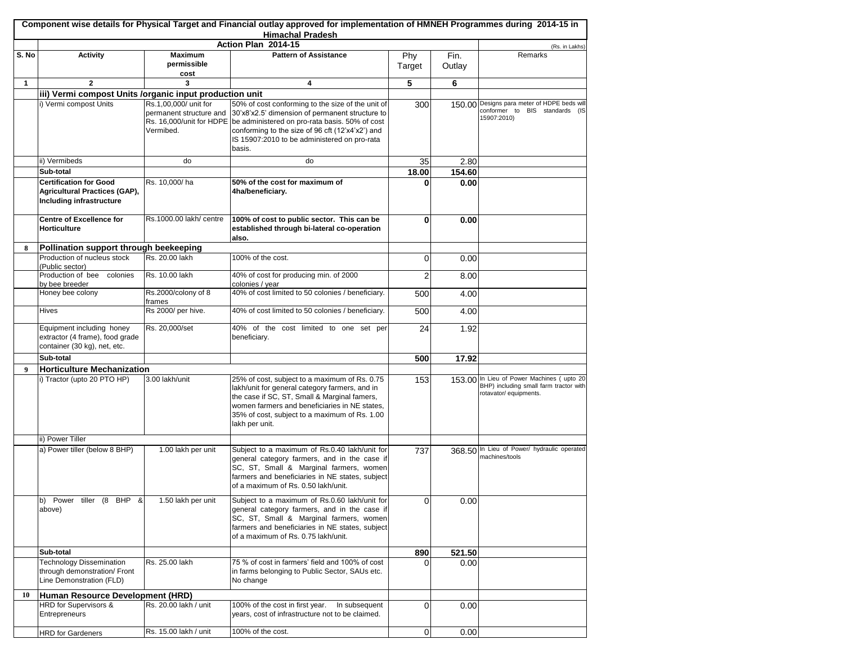|              |                                                                                                   |                                                                                           | <b>Himachal Pradesh</b><br>Action Plan 2014-15                                                                                                                                                                                                                       |                |                | (Rs. in Lakhs)                                                                                                |
|--------------|---------------------------------------------------------------------------------------------------|-------------------------------------------------------------------------------------------|----------------------------------------------------------------------------------------------------------------------------------------------------------------------------------------------------------------------------------------------------------------------|----------------|----------------|---------------------------------------------------------------------------------------------------------------|
| S. No        | <b>Activity</b>                                                                                   | <b>Maximum</b><br>permissible<br>cost                                                     | <b>Pattern of Assistance</b>                                                                                                                                                                                                                                         | Phy<br>Target  | Fin.<br>Outlay | Remarks                                                                                                       |
| $\mathbf{1}$ | $\mathbf{2}$                                                                                      | 3                                                                                         | 4                                                                                                                                                                                                                                                                    | 5              | 6              |                                                                                                               |
|              | iii) Vermi compost Units /organic input production unit                                           |                                                                                           |                                                                                                                                                                                                                                                                      |                |                |                                                                                                               |
|              | i) Vermi compost Units                                                                            | Rs.1,00,000/ unit for<br>permanent structure and<br>Rs. 16,000/unit for HDPE<br>Vermibed. | 50% of cost conforming to the size of the unit of<br>30'x8'x2.5' dimension of permanent structure to<br>be administered on pro-rata basis. 50% of cost<br>conforming to the size of 96 cft (12'x4'x2') and<br>IS 15907:2010 to be administered on pro-rata<br>basis. | 300            |                | 150.00 Designs para meter of HDPE beds will<br>conformer to BIS standards (IS<br>15907:2010)                  |
|              | ii) Vermibeds                                                                                     | do                                                                                        | do                                                                                                                                                                                                                                                                   | 35             | 2.80           |                                                                                                               |
|              | Sub-total                                                                                         |                                                                                           |                                                                                                                                                                                                                                                                      | 18.00          | 154.60         |                                                                                                               |
|              | <b>Certification for Good</b><br><b>Agricultural Practices (GAP),</b><br>Including infrastructure | Rs. 10,000/ha                                                                             | 50% of the cost for maximum of<br>4ha/beneficiary.                                                                                                                                                                                                                   |                | 0.00           |                                                                                                               |
|              | <b>Centre of Excellence for</b><br><b>Horticulture</b>                                            | Rs.1000.00 lakh/ centre                                                                   | 100% of cost to public sector. This can be<br>established through bi-lateral co-operation<br>also.                                                                                                                                                                   | 0              | 0.00           |                                                                                                               |
| 8            | Pollination support through beekeeping                                                            |                                                                                           |                                                                                                                                                                                                                                                                      |                |                |                                                                                                               |
|              | Production of nucleus stock<br>(Public sector)                                                    | Rs. 20.00 lakh                                                                            | 100% of the cost.                                                                                                                                                                                                                                                    | 0              | 0.00           |                                                                                                               |
|              | Production of bee colonies<br>by bee breeder                                                      | Rs. 10.00 lakh                                                                            | 40% of cost for producing min. of 2000<br>colonies / year                                                                                                                                                                                                            | 2              | 8.00           |                                                                                                               |
|              | Honey bee colony                                                                                  | Rs.2000/colony of 8<br>frames                                                             | 40% of cost limited to 50 colonies / beneficiary.                                                                                                                                                                                                                    | 500            | 4.00           |                                                                                                               |
|              | <b>Hives</b>                                                                                      | Rs 2000/ per hive.                                                                        | 40% of cost limited to 50 colonies / beneficiary.                                                                                                                                                                                                                    | 500            | 4.00           |                                                                                                               |
|              | Equipment including honey<br>extractor (4 frame), food grade<br>container (30 kg), net, etc.      | Rs. 20,000/set                                                                            | 40% of the cost limited to one set per<br>beneficiary.                                                                                                                                                                                                               | 24             | 1.92           |                                                                                                               |
|              | Sub-total                                                                                         |                                                                                           |                                                                                                                                                                                                                                                                      | 500            | 17.92          |                                                                                                               |
| 9            | <b>Horticulture Mechanization</b>                                                                 |                                                                                           |                                                                                                                                                                                                                                                                      |                |                |                                                                                                               |
|              | i) Tractor (upto 20 PTO HP)                                                                       | 3.00 lakh/unit                                                                            | 25% of cost, subject to a maximum of Rs. 0.75<br>lakh/unit for general category farmers, and in<br>the case if SC, ST, Small & Marginal famers,<br>women farmers and beneficiaries in NE states,<br>35% of cost, subject to a maximum of Rs. 1.00<br>lakh per unit.  | 153            |                | 153.00 In Lieu of Power Machines (upto 20<br>BHP) including small farm tractor with<br>rotavator/ equipments. |
|              | ii) Power Tiller                                                                                  |                                                                                           |                                                                                                                                                                                                                                                                      |                |                |                                                                                                               |
|              | a) Power tiller (below 8 BHP)                                                                     | 1.00 lakh per unit                                                                        | Subject to a maximum of Rs.0.40 lakh/unit for<br>general category farmers, and in the case if<br>SC, ST, Small & Marginal farmers, women<br>farmers and beneficiaries in NE states, subject<br>of a maximum of Rs. 0.50 lakh/unit.                                   | 737            |                | 368.50 In Lieu of Power/ hydraulic operated<br>machines/tools                                                 |
|              | b) Power tiller (8 BHP &<br>above)                                                                | 1.50 lakh per unit                                                                        | Subject to a maximum of Rs.0.60 lakh/unit for<br>general category farmers, and in the case if<br>SC, ST, Small & Marginal farmers, women<br>farmers and beneficiaries in NE states, subject<br>of a maximum of Rs. 0.75 lakh/unit.                                   | 0              | 0.00           |                                                                                                               |
|              | Sub-total                                                                                         |                                                                                           |                                                                                                                                                                                                                                                                      | 890            | 521.50         |                                                                                                               |
|              | <b>Technology Dissemination</b><br>through demonstration/ Front<br>Line Demonstration (FLD)       | Rs. 25.00 lakh                                                                            | 75 % of cost in farmers' field and 100% of cost<br>in farms belonging to Public Sector, SAUs etc.<br>No change                                                                                                                                                       | $\Omega$       | 0.00           |                                                                                                               |
| 10           | Human Resource Development (HRD)                                                                  |                                                                                           |                                                                                                                                                                                                                                                                      |                |                |                                                                                                               |
|              | HRD for Supervisors &<br>Entrepreneurs                                                            | Rs. 20.00 lakh / unit                                                                     | 100% of the cost in first year.<br>In subsequent<br>years, cost of infrastructure not to be claimed.                                                                                                                                                                 | $\Omega$       | 0.00           |                                                                                                               |
|              | <b>HRD</b> for Gardeners                                                                          | Rs. 15.00 lakh / unit                                                                     | 100% of the cost.                                                                                                                                                                                                                                                    | $\overline{0}$ | 0.00           |                                                                                                               |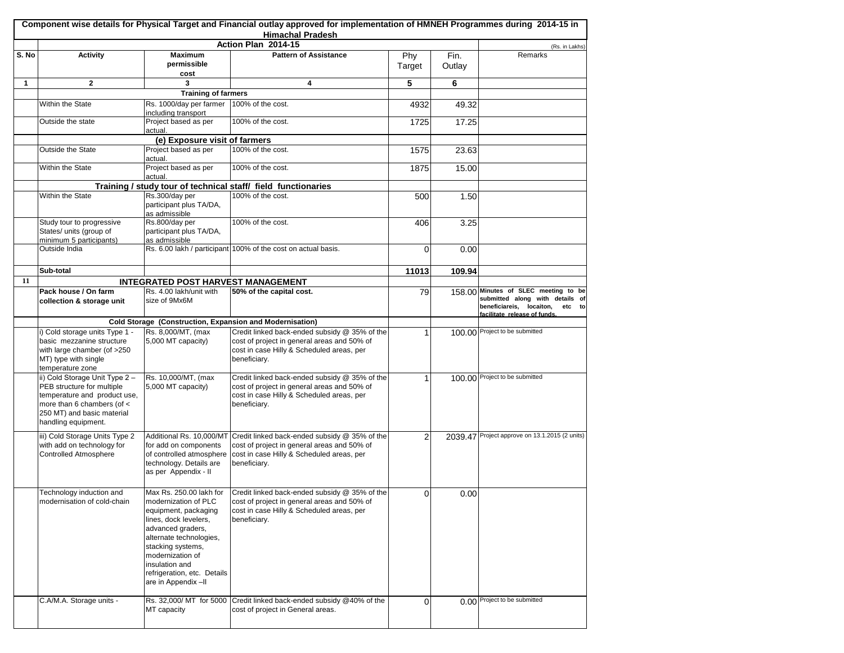|       |                                                                                                                                                                                 |                                                                                                                                                                                                                                       | Component wise details for Physical Target and Financial outlay approved for implementation of HMNEH Programmes during 2014-15 in<br><b>Himachal Pradesh</b>                       |               |                |                                                                                                                                               |
|-------|---------------------------------------------------------------------------------------------------------------------------------------------------------------------------------|---------------------------------------------------------------------------------------------------------------------------------------------------------------------------------------------------------------------------------------|------------------------------------------------------------------------------------------------------------------------------------------------------------------------------------|---------------|----------------|-----------------------------------------------------------------------------------------------------------------------------------------------|
|       |                                                                                                                                                                                 |                                                                                                                                                                                                                                       | Action Plan 2014-15                                                                                                                                                                |               |                | (Rs. in Lakhs)                                                                                                                                |
| S. No | <b>Activity</b>                                                                                                                                                                 | <b>Maximum</b><br>permissible<br>cost                                                                                                                                                                                                 | <b>Pattern of Assistance</b>                                                                                                                                                       | Phy<br>Target | Fin.<br>Outlay | Remarks                                                                                                                                       |
| 1     | $\mathbf{2}$                                                                                                                                                                    | 3                                                                                                                                                                                                                                     | 4                                                                                                                                                                                  | 5             | 6              |                                                                                                                                               |
|       |                                                                                                                                                                                 | <b>Training of farmers</b>                                                                                                                                                                                                            |                                                                                                                                                                                    |               |                |                                                                                                                                               |
|       | Within the State                                                                                                                                                                | Rs. 1000/day per farmer<br>including transport                                                                                                                                                                                        | 100% of the cost.                                                                                                                                                                  | 4932          | 49.32          |                                                                                                                                               |
|       | Outside the state                                                                                                                                                               | Project based as per<br>actual.                                                                                                                                                                                                       | 100% of the cost.                                                                                                                                                                  | 1725          | 17.25          |                                                                                                                                               |
|       |                                                                                                                                                                                 | (e) Exposure visit of farmers                                                                                                                                                                                                         |                                                                                                                                                                                    |               |                |                                                                                                                                               |
|       | Outside the State                                                                                                                                                               | Project based as per<br>actual.                                                                                                                                                                                                       | 100% of the cost.                                                                                                                                                                  | 1575          | 23.63          |                                                                                                                                               |
|       | Within the State                                                                                                                                                                | Project based as per<br>actual.                                                                                                                                                                                                       | 100% of the cost.                                                                                                                                                                  | 1875          | 15.00          |                                                                                                                                               |
|       |                                                                                                                                                                                 |                                                                                                                                                                                                                                       | Training / study tour of technical staff/ field functionaries                                                                                                                      |               |                |                                                                                                                                               |
|       | Within the State                                                                                                                                                                | Rs.300/day per<br>participant plus TA/DA,<br>as admissible                                                                                                                                                                            | 100% of the cost.                                                                                                                                                                  | 500           | 1.50           |                                                                                                                                               |
|       | Study tour to progressive<br>States/ units (group of<br>minimum 5 participants)                                                                                                 | Rs.800/day per<br>participant plus TA/DA,<br>as admissible                                                                                                                                                                            | 100% of the cost.                                                                                                                                                                  | 406           | 3.25           |                                                                                                                                               |
|       | Outside India                                                                                                                                                                   |                                                                                                                                                                                                                                       | Rs. 6.00 lakh / participant 100% of the cost on actual basis.                                                                                                                      | 0             | 0.00           |                                                                                                                                               |
|       | Sub-total                                                                                                                                                                       |                                                                                                                                                                                                                                       |                                                                                                                                                                                    | 11013         | 109.94         |                                                                                                                                               |
| 11    |                                                                                                                                                                                 | <b>INTEGRATED POST HARVEST MANAGEMENT</b>                                                                                                                                                                                             |                                                                                                                                                                                    |               |                |                                                                                                                                               |
|       | Pack house / On farm<br>collection & storage unit                                                                                                                               | Rs. 4.00 lakh/unit with<br>size of 9Mx6M                                                                                                                                                                                              | 50% of the capital cost.                                                                                                                                                           | 79            |                | 158.00 Minutes of SLEC meeting to be<br>submitted along with details of<br>beneficiareis, locaiton,<br>etc to<br>facilitate release of funds. |
|       |                                                                                                                                                                                 | Cold Storage (Construction, Expansion and Modernisation)                                                                                                                                                                              |                                                                                                                                                                                    |               |                |                                                                                                                                               |
|       | i) Cold storage units Type 1 -<br>basic mezzanine structure<br>with large chamber (of >250<br>MT) type with single<br>temperature zone                                          | Rs. 8,000/MT, (max<br>5,000 MT capacity)                                                                                                                                                                                              | Credit linked back-ended subsidy @ 35% of the<br>cost of project in general areas and 50% of<br>cost in case Hilly & Scheduled areas, per<br>beneficiary.                          |               |                | 100.00 Project to be submitted                                                                                                                |
|       | ii) Cold Storage Unit Type 2 -<br>PEB structure for multiple<br>temperature and product use,<br>more than 6 chambers (of <<br>250 MT) and basic material<br>handling equipment. | Rs. 10,000/MT, (max<br>5,000 MT capacity)                                                                                                                                                                                             | Credit linked back-ended subsidy @ 35% of the<br>cost of project in general areas and 50% of<br>cost in case Hilly & Scheduled areas, per<br>beneficiary.                          |               |                | 100.00 Project to be submitted                                                                                                                |
|       | iii) Cold Storage Units Type 2<br>with add on technology for<br><b>Controlled Atmosphere</b>                                                                                    | for add on components<br>of controlled atmosphere<br>technology. Details are<br>as per Appendix - II                                                                                                                                  | Additional Rs. 10,000/MT Credit linked back-ended subsidy @ 35% of the<br>cost of project in general areas and 50% of<br>cost in case Hilly & Scheduled areas, per<br>beneficiary. | 2             |                | 2039.47 Project approve on 13.1.2015 (2 units)                                                                                                |
|       | Technology induction and<br>modernisation of cold-chain                                                                                                                         | modernization of PLC<br>equipment, packaging<br>lines, dock levelers,<br>advanced graders,<br>alternate technologies,<br>stacking systems,<br>modernization of<br>insulation and<br>refrigeration, etc. Details<br>are in Appendix-II | Max Rs. 250.00 lakh for Credit linked back-ended subsidy @ 35% of the<br>cost of project in general areas and 50% of<br>cost in case Hilly & Scheduled areas, per<br>beneficiary.  | $\Omega$      | 0.00           |                                                                                                                                               |
|       | C.A/M.A. Storage units -                                                                                                                                                        | Rs. 32,000/ MT for 5000<br>MT capacity                                                                                                                                                                                                | Credit linked back-ended subsidy @40% of the<br>cost of project in General areas.                                                                                                  | 0             |                | 0.00 Project to be submitted                                                                                                                  |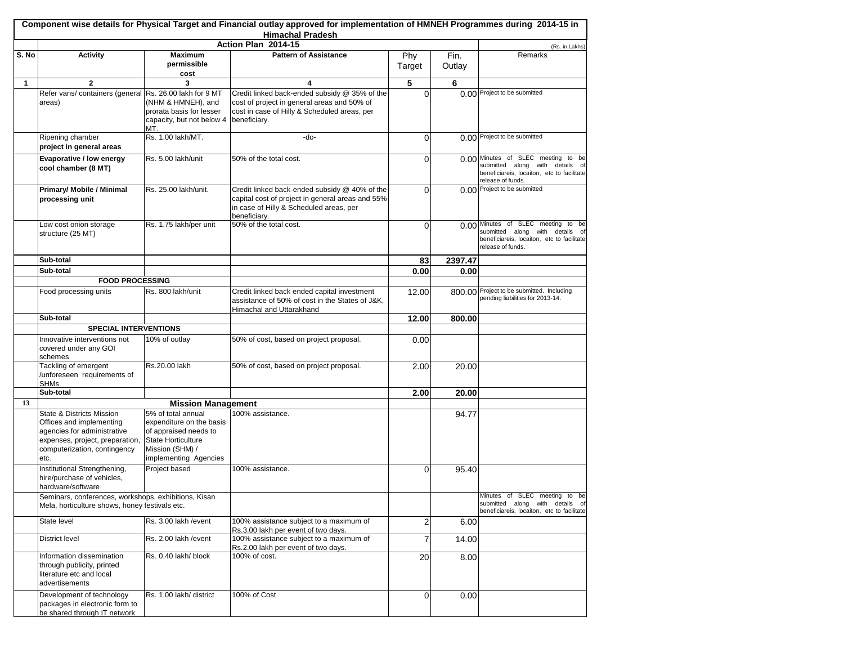|       |                                                                                                                                                                 |                                                                                                                                                  | <b>Himachal Pradesh</b>                                                                                                                                      |               |                |                                                                                                                                             |
|-------|-----------------------------------------------------------------------------------------------------------------------------------------------------------------|--------------------------------------------------------------------------------------------------------------------------------------------------|--------------------------------------------------------------------------------------------------------------------------------------------------------------|---------------|----------------|---------------------------------------------------------------------------------------------------------------------------------------------|
|       |                                                                                                                                                                 |                                                                                                                                                  | Action Plan 2014-15                                                                                                                                          |               |                | (Rs. in Lakhs)                                                                                                                              |
| S. No | <b>Activity</b>                                                                                                                                                 | <b>Maximum</b><br>permissible<br>cost                                                                                                            | <b>Pattern of Assistance</b>                                                                                                                                 | Phy<br>Target | Fin.<br>Outlay | Remarks                                                                                                                                     |
| 1     | $\mathbf{2}$                                                                                                                                                    | 3                                                                                                                                                | 4                                                                                                                                                            | 5             | 6              |                                                                                                                                             |
|       | Refer vans/containers (general Rs. 26.00 lakh for 9 MT<br>areas)                                                                                                | (NHM & HMNEH), and<br>prorata basis for lesser<br>capacity, but not below 4<br>MT.                                                               | Credit linked back-ended subsidy @ 35% of the<br>cost of project in general areas and 50% of<br>cost in case of Hilly & Scheduled areas, per<br>beneficiary. | $\Omega$      |                | 0.00 Project to be submitted                                                                                                                |
|       | Ripening chamber<br>project in general areas                                                                                                                    | Rs. 1.00 lakh/MT.                                                                                                                                | -do-                                                                                                                                                         | 0             |                | 0.00 Project to be submitted                                                                                                                |
|       | Evaporative / low energy<br>cool chamber (8 MT)                                                                                                                 | Rs. 5.00 lakh/unit                                                                                                                               | 50% of the total cost.                                                                                                                                       | 0             |                | 0.00 Minutes of SLEC meeting to be<br>submitted along with details of<br>beneficiareis, locaiton, etc to facilitate<br>release of funds.    |
|       | Primary/ Mobile / Minimal<br>processing unit                                                                                                                    | Rs. 25.00 lakh/unit.                                                                                                                             | Credit linked back-ended subsidy @ 40% of the<br>capital cost of project in general areas and 55%<br>in case of Hilly & Scheduled areas, per<br>beneficiary. | $\Omega$      |                | 0.00 Project to be submitted                                                                                                                |
|       | Low cost onion storage<br>structure (25 MT)                                                                                                                     | Rs. 1.75 lakh/per unit                                                                                                                           | 50% of the total cost.                                                                                                                                       | 0             |                | 0.00 Minutes of SLEC meeting<br>to be<br>submitted along with details of<br>beneficiareis, locaiton, etc to facilitate<br>release of funds. |
|       | Sub-total                                                                                                                                                       |                                                                                                                                                  |                                                                                                                                                              | 83            | 2397.47        |                                                                                                                                             |
|       | Sub-total                                                                                                                                                       |                                                                                                                                                  |                                                                                                                                                              | 0.00          | 0.00           |                                                                                                                                             |
|       | <b>FOOD PROCESSING</b>                                                                                                                                          |                                                                                                                                                  |                                                                                                                                                              |               |                |                                                                                                                                             |
|       | Food processing units                                                                                                                                           | Rs. 800 lakh/unit                                                                                                                                | Credit linked back ended capital investment<br>assistance of 50% of cost in the States of J&K,<br>Himachal and Uttarakhand                                   | 12.00         |                | 800.00 Project to be submitted. Including<br>pending liabilities for 2013-14.                                                               |
|       | Sub-total                                                                                                                                                       |                                                                                                                                                  |                                                                                                                                                              | 12.00         | 800.00         |                                                                                                                                             |
|       | <b>SPECIAL INTERVENTIONS</b>                                                                                                                                    |                                                                                                                                                  |                                                                                                                                                              |               |                |                                                                                                                                             |
|       | Innovative interventions not<br>covered under any GOI<br>schemes                                                                                                | 10% of outlay                                                                                                                                    | 50% of cost, based on project proposal.                                                                                                                      | 0.00          |                |                                                                                                                                             |
|       | Tackling of emergent<br>/unforeseen requirements of<br><b>SHMs</b>                                                                                              | Rs.20.00 lakh                                                                                                                                    | 50% of cost, based on project proposal.                                                                                                                      | 2.00          | 20.00          |                                                                                                                                             |
|       | Sub-total                                                                                                                                                       |                                                                                                                                                  |                                                                                                                                                              | 2.00          | 20.00          |                                                                                                                                             |
| 13    |                                                                                                                                                                 | <b>Mission Management</b>                                                                                                                        |                                                                                                                                                              |               |                |                                                                                                                                             |
|       | State & Districts Mission<br>Offices and implementing<br>agencies for administrative<br>expenses, project, preparation,<br>computerization, contingency<br>etc. | 5% of total annual<br>expenditure on the basis<br>of appraised needs to<br><b>State Horticulture</b><br>Mission (SHM) /<br>implementing Agencies | 100% assistance.                                                                                                                                             |               | 94.77          |                                                                                                                                             |
|       | Institutional Strengthening,<br>hire/purchase of vehicles,<br>hardware/software                                                                                 | Project based                                                                                                                                    | 100% assistance.                                                                                                                                             | 0             | 95.40          |                                                                                                                                             |
|       | Seminars, conferences, workshops, exhibitions, Kisan<br>Mela, horticulture shows, honey festivals etc.                                                          |                                                                                                                                                  |                                                                                                                                                              |               |                | Minutes of SLEC meeting to be<br>submitted along with details of<br>beneficiareis, locaiton, etc to facilitate                              |
|       | State level                                                                                                                                                     | Rs. 3.00 lakh / event                                                                                                                            | 100% assistance subject to a maximum of<br>Rs.3.00 lakh per event of two days.                                                                               | 2             | 6.00           |                                                                                                                                             |
|       | District level                                                                                                                                                  | Rs. 2.00 lakh / event                                                                                                                            | 100% assistance subject to a maximum of<br>Rs.2.00 lakh per event of two days.                                                                               | 7             | 14.00          |                                                                                                                                             |
|       | Information dissemination<br>through publicity, printed<br>literature etc and local<br>advertisements                                                           | Rs. 0.40 lakh/ block                                                                                                                             | 100% of cost.                                                                                                                                                | 20            | 8.00           |                                                                                                                                             |
|       | Development of technology<br>packages in electronic form to<br>be shared through IT network                                                                     | Rs. 1.00 lakh/ district                                                                                                                          | 100% of Cost                                                                                                                                                 | $\Omega$      | 0.00           |                                                                                                                                             |